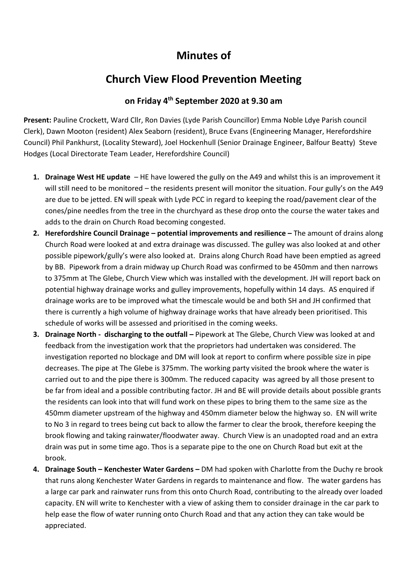## **Minutes of**

## **Church View Flood Prevention Meeting**

## **on Friday 4 th September 2020 at 9.30 am**

**Present:** Pauline Crockett, Ward Cllr, Ron Davies (Lyde Parish Councillor) Emma Noble Ldye Parish council Clerk), Dawn Mooton (resident) Alex Seaborn (resident), Bruce Evans (Engineering Manager, Herefordshire Council) Phil Pankhurst, (Locality Steward), Joel Hockenhull (Senior Drainage Engineer, Balfour Beatty) Steve Hodges (Local Directorate Team Leader, Herefordshire Council)

- **1. Drainage West HE update**  HE have lowered the gully on the A49 and whilst this is an improvement it will still need to be monitored – the residents present will monitor the situation. Four gully's on the A49 are due to be jetted. EN will speak with Lyde PCC in regard to keeping the road/pavement clear of the cones/pine needles from the tree in the churchyard as these drop onto the course the water takes and adds to the drain on Church Road becoming congested.
- **2. Herefordshire Council Drainage – potential improvements and resilience –** The amount of drains along Church Road were looked at and extra drainage was discussed. The gulley was also looked at and other possible pipework/gully's were also looked at. Drains along Church Road have been emptied as agreed by BB. Pipework from a drain midway up Church Road was confirmed to be 450mm and then narrows to 375mm at The Glebe, Church View which was installed with the development. JH will report back on potential highway drainage works and gulley improvements, hopefully within 14 days. AS enquired if drainage works are to be improved what the timescale would be and both SH and JH confirmed that there is currently a high volume of highway drainage works that have already been prioritised. This schedule of works will be assessed and prioritised in the coming weeks.
- **3. Drainage North - discharging to the outfall –** Pipework at The Glebe, Church View was looked at and feedback from the investigation work that the proprietors had undertaken was considered. The investigation reported no blockage and DM will look at report to confirm where possible size in pipe decreases. The pipe at The Glebe is 375mm. The working party visited the brook where the water is carried out to and the pipe there is 300mm. The reduced capacity was agreed by all those present to be far from ideal and a possible contributing factor. JH and BE will provide details about possible grants the residents can look into that will fund work on these pipes to bring them to the same size as the 450mm diameter upstream of the highway and 450mm diameter below the highway so. EN will write to No 3 in regard to trees being cut back to allow the farmer to clear the brook, therefore keeping the brook flowing and taking rainwater/floodwater away. Church View is an unadopted road and an extra drain was put in some time ago. Thos is a separate pipe to the one on Church Road but exit at the brook.
- **4. Drainage South – Kenchester Water Gardens –** DM had spoken with Charlotte from the Duchy re brook that runs along Kenchester Water Gardens in regards to maintenance and flow. The water gardens has a large car park and rainwater runs from this onto Church Road, contributing to the already over loaded capacity. EN will write to Kenchester with a view of asking them to consider drainage in the car park to help ease the flow of water running onto Church Road and that any action they can take would be appreciated.